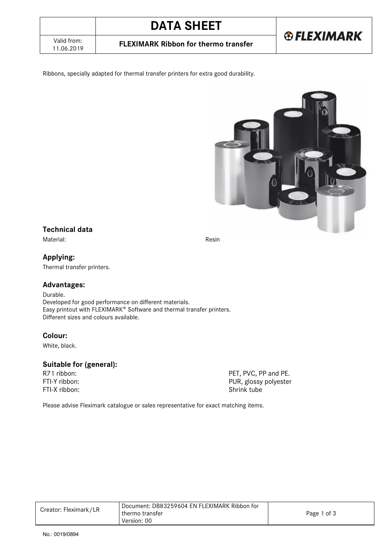**FLEXIMARK Ribbon for thermo transfer** 

**& FLEXIMARK** 

Ribbons, specially adapted for thermal transfer printers for extra good durability.



**Technical data** Material: Resin

**Applying:**  Thermal transfer printers.

## **Advantages:**

Durable. Developed for good performance on different materials. Easy printout with FLEXIMARK<sup>®</sup> Software and thermal transfer printers. Different sizes and colours available.

## **Colour:**

White, black.

# **Suitable for (general):**

FTI-X ribbon: Shrink tube

PET, PVC, PP and PE. FTI-Y ribbon: PUR, glossy polyester

Please advise Fleximark catalogue or sales representative for exact matching items.

| Creator: Fleximark/LR | Document: DB83259604 EN FLEXIMARK Ribbon for<br>thermo transfer<br>Version: 00 | Page 1 of 3 |
|-----------------------|--------------------------------------------------------------------------------|-------------|
|                       |                                                                                |             |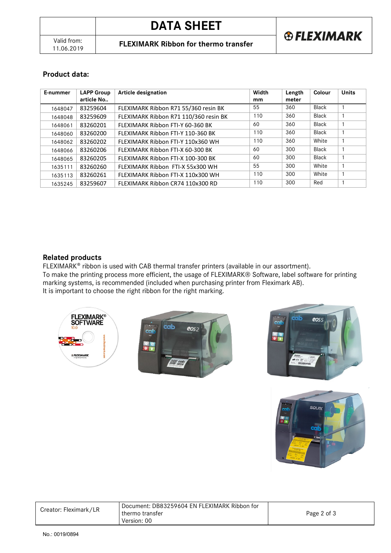**FLEXIMARK Ribbon for thermo transfer** 

## **Product data:**

| E-nummer | <b>LAPP Group</b><br>article No | <b>Article designation</b>            | Width<br>mm | Length<br>meter | Colour       | <b>Units</b> |
|----------|---------------------------------|---------------------------------------|-------------|-----------------|--------------|--------------|
| 1648047  | 83259604                        | FLEXIMARK Ribbon R71 55/360 resin BK  | 55          | 360             | <b>Black</b> |              |
| 1648048  | 83259609                        | FLEXIMARK Ribbon R71 110/360 resin BK | 110         | 360             | <b>Black</b> |              |
| 1648061  | 83260201                        | FLEXIMARK Ribbon FTI-Y 60-360 BK      | 60          | 360             | <b>Black</b> |              |
| 1648060  | 83260200                        | FLEXIMARK Ribbon FTI-Y 110-360 BK     | 110         | 360             | <b>Black</b> |              |
| 1648062  | 83260202                        | FLEXIMARK Ribbon FTI-Y 110x360 WH     | 110         | 360             | White        |              |
| 1648066  | 83260206                        | FLEXIMARK Ribbon FTI-X 60-300 BK      | 60          | 300             | <b>Black</b> |              |
| 1648065  | 83260205                        | FLEXIMARK Ribbon FTI-X 100-300 BK     | 60          | 300             | <b>Black</b> |              |
| 1635111  | 83260260                        | FLEXIMARK Ribbon FTI-X 55x300 WH      | 55          | 300             | White        |              |
| 1635113  | 83260261                        | FLEXIMARK Ribbon FTI-X 110x300 WH     | 110         | 300             | White        |              |
| 1635245  | 83259607                        | FLEXIMARK Ribbon CR74 110x300 RD      | 110         | 300             | Red          |              |

## **Related products**

FLEXIMARK<sup>®</sup> ribbon is used with CAB thermal transfer printers (available in our assortment). To make the printing process more efficient, the usage of FLEXIMARK® Software, label software for printing marking systems, is recommended (included when purchasing printer from Fleximark AB). It is important to choose the right ribbon for the right marking.







| Creator: Fleximark/LR | Document: DB83259604 EN FLEXIMARK Ribbon for<br>thermo transfer<br>Version: 00 | Page 2 of 3 |
|-----------------------|--------------------------------------------------------------------------------|-------------|
|-----------------------|--------------------------------------------------------------------------------|-------------|